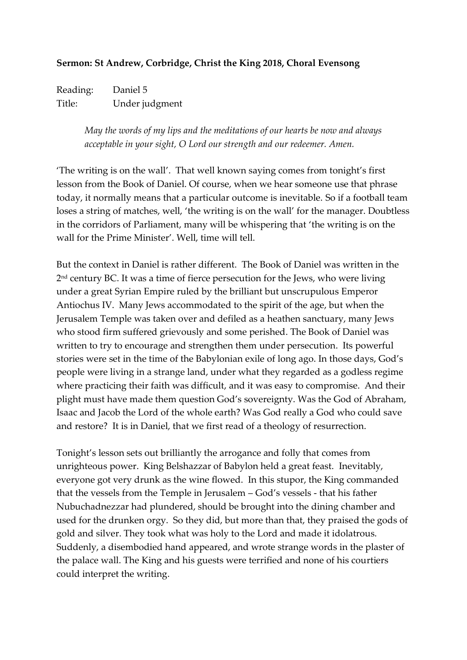## **Sermon: St Andrew, Corbridge, Christ the King 2018, Choral Evensong**

Reading: Daniel 5 Title: Under judgment

> *May the words of my lips and the meditations of our hearts be now and always acceptable in your sight, O Lord our strength and our redeemer. Amen.*

'The writing is on the wall'. That well known saying comes from tonight's first lesson from the Book of Daniel. Of course, when we hear someone use that phrase today, it normally means that a particular outcome is inevitable. So if a football team loses a string of matches, well, 'the writing is on the wall' for the manager. Doubtless in the corridors of Parliament, many will be whispering that 'the writing is on the wall for the Prime Minister'. Well, time will tell.

But the context in Daniel is rather different. The Book of Daniel was written in the 2 nd century BC. It was a time of fierce persecution for the Jews, who were living under a great Syrian Empire ruled by the brilliant but unscrupulous Emperor Antiochus IV. Many Jews accommodated to the spirit of the age, but when the Jerusalem Temple was taken over and defiled as a heathen sanctuary, many Jews who stood firm suffered grievously and some perished. The Book of Daniel was written to try to encourage and strengthen them under persecution. Its powerful stories were set in the time of the Babylonian exile of long ago. In those days, God's people were living in a strange land, under what they regarded as a godless regime where practicing their faith was difficult, and it was easy to compromise. And their plight must have made them question God's sovereignty. Was the God of Abraham, Isaac and Jacob the Lord of the whole earth? Was God really a God who could save and restore? It is in Daniel, that we first read of a theology of resurrection.

Tonight's lesson sets out brilliantly the arrogance and folly that comes from unrighteous power. King Belshazzar of Babylon held a great feast. Inevitably, everyone got very drunk as the wine flowed. In this stupor, the King commanded that the vessels from the Temple in Jerusalem – God's vessels - that his father Nubuchadnezzar had plundered, should be brought into the dining chamber and used for the drunken orgy. So they did, but more than that, they praised the gods of gold and silver. They took what was holy to the Lord and made it idolatrous. Suddenly, a disembodied hand appeared, and wrote strange words in the plaster of the palace wall. The King and his guests were terrified and none of his courtiers could interpret the writing.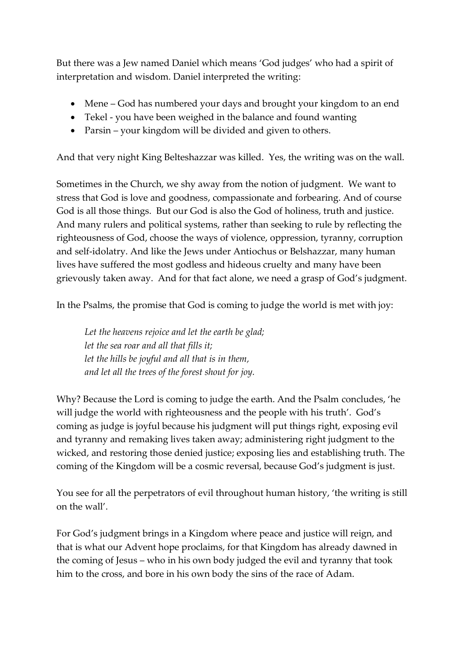But there was a Jew named Daniel which means 'God judges' who had a spirit of interpretation and wisdom. Daniel interpreted the writing:

- Mene God has numbered your days and brought your kingdom to an end
- Tekel you have been weighed in the balance and found wanting
- Parsin your kingdom will be divided and given to others.

And that very night King Belteshazzar was killed. Yes, the writing was on the wall.

Sometimes in the Church, we shy away from the notion of judgment. We want to stress that God is love and goodness, compassionate and forbearing. And of course God is all those things. But our God is also the God of holiness, truth and justice. And many rulers and political systems, rather than seeking to rule by reflecting the righteousness of God, choose the ways of violence, oppression, tyranny, corruption and self-idolatry. And like the Jews under Antiochus or Belshazzar, many human lives have suffered the most godless and hideous cruelty and many have been grievously taken away. And for that fact alone, we need a grasp of God's judgment.

In the Psalms, the promise that God is coming to judge the world is met with joy:

*Let the heavens rejoice and let the earth be glad; let the sea roar and all that fills it; let the hills be joyful and all that is in them, and let all the trees of the forest shout for joy.*

Why? Because the Lord is coming to judge the earth. And the Psalm concludes, 'he will judge the world with righteousness and the people with his truth'. God's coming as judge is joyful because his judgment will put things right, exposing evil and tyranny and remaking lives taken away; administering right judgment to the wicked, and restoring those denied justice; exposing lies and establishing truth. The coming of the Kingdom will be a cosmic reversal, because God's judgment is just.

You see for all the perpetrators of evil throughout human history, 'the writing is still on the wall'.

For God's judgment brings in a Kingdom where peace and justice will reign, and that is what our Advent hope proclaims, for that Kingdom has already dawned in the coming of Jesus – who in his own body judged the evil and tyranny that took him to the cross, and bore in his own body the sins of the race of Adam.